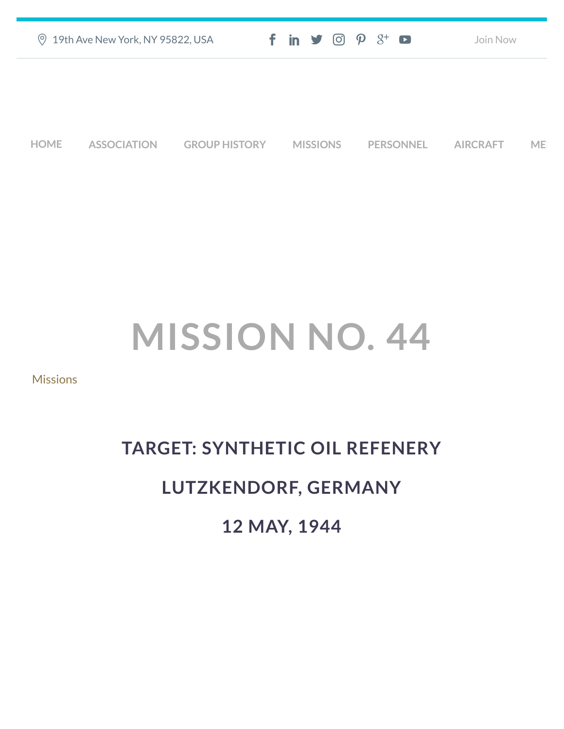| ◎ 19th Ave New York, NY 95822, USA | $f$ in $\blacktriangleright$ $\odot$ $\varphi$ $3$ <sup>+</sup> $\blacktriangleright$ | Join Now |
|------------------------------------|---------------------------------------------------------------------------------------|----------|
|                                    |                                                                                       |          |
|                                    |                                                                                       |          |
|                                    |                                                                                       |          |

**[HOME](https://457thbombgroupassoc.org/)** [ASSOCIATION](https://457thbombgroupassoc.org/mission-no-44/#) [GROUP HISTORY](https://457thbombgroupassoc.org/mission-no-44/#) [MISSIONS](https://457thbombgroupassoc.org/mission-no-44/#) [PERSONNEL](https://457thbombgroupassoc.org/mission-no-44/#) [AIRCRAFT](https://457thbombgroupassoc.org/mission-no-44/#) [MED](https://457thbombgroupassoc.org/mission-no-44/#)

## **MISSION NO. 44**

**[Missions](https://457thbombgroupassoc.org/category/missions/)** 

## **TARGET: SYNTHETIC OIL REFENERY LUTZKENDORF, GERMANY**

**12 MAY, 1944**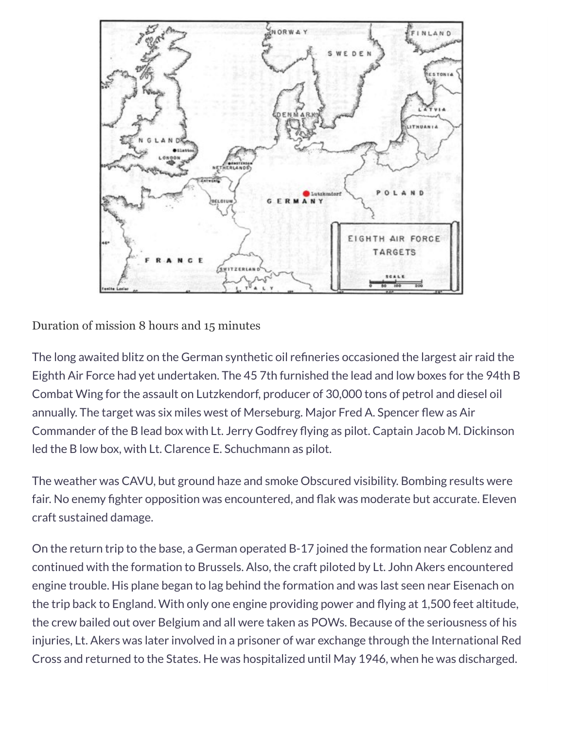

Duration of mission 8 hours and 15 minutes

The long awaited blitz on the German synthetic oil refineries occasioned the largest air raid the Eighth Air Force had yet undertaken. The 45 7th furnished the lead and low boxes for the 94th B Combat Wing for the assault on Lutzkendorf, producer of 30,000 tons of petrol and diesel oil annually. The target was six miles west of Merseburg. Major Fred A. Spencer flew as Air Commander of the B lead box with Lt. Jerry Godfrey flying as pilot. Captain Jacob M. Dickinson led the B low box, with Lt. Clarence E. Schuchmann as pilot.

The weather was CAVU, but ground haze and smoke Obscured visibility. Bombing results were fair. No enemy fighter opposition was encountered, and flak was moderate but accurate. Eleven craft sustained damage.

On the return trip to the base, a German operated B-17 joined the formation near Coblenz and continued with the formation to Brussels. Also, the craft piloted by Lt. John Akers encountered engine trouble. His plane began to lag behind the formation and was last seen near Eisenach on the trip back to England. With only one engine providing power and flying at 1,500 feet altitude, the crew bailed out over Belgium and all were taken as POWs. Because of the seriousness of his injuries, Lt. Akers was later involved in a prisoner of war exchange through the International Red Cross and returned to the States. He was hospitalized until May 1946, when he was discharged.